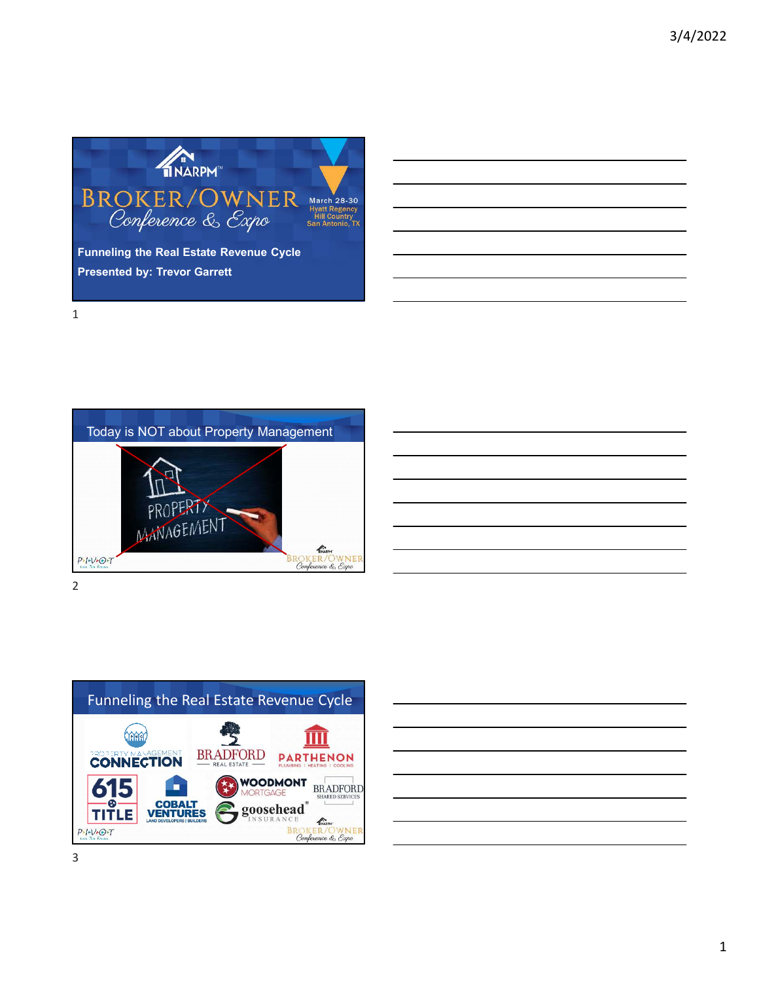





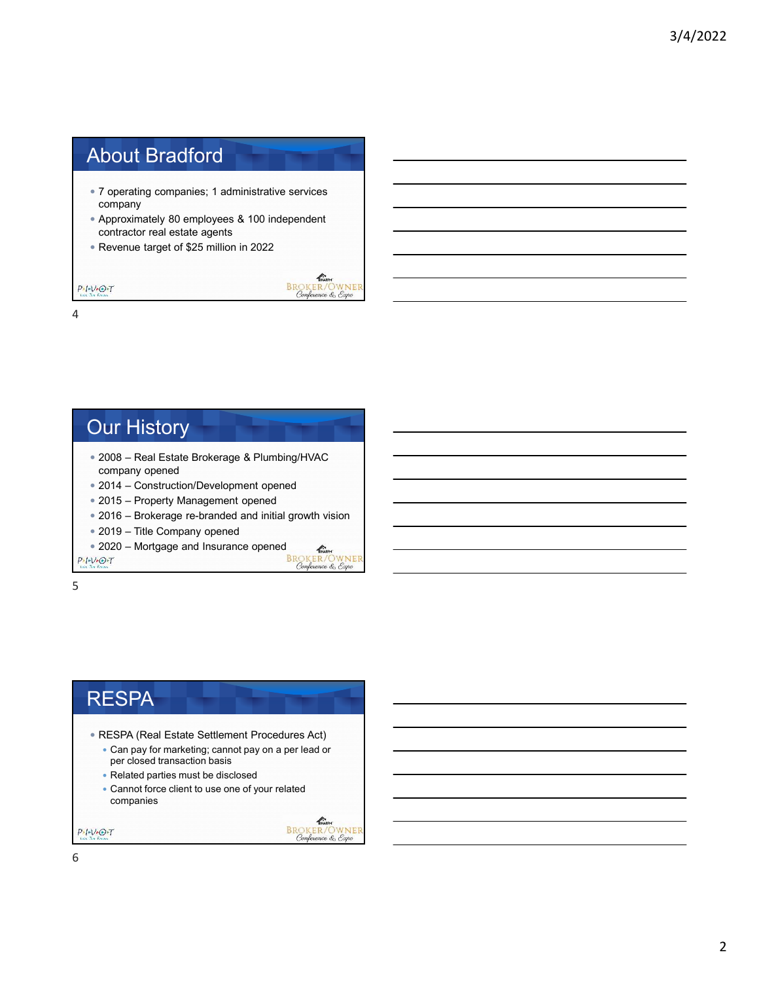# About Bradford

- 7 operating companies; 1 administrative services company
- Approximately 80 employees & 100 independent contractor real estate agents
- Revenue target of \$25 million in 2022

**CONTRACTER**<br>BROKER/OWNER<br>Conference & Expo

4

 $P \cdot I \cdot V \cdot O \cdot T$ 

### Our History 2008 – Real Estate Brokerage & Plumbing/HVAC company opened 2014 – Construction/Development opened 2015 – Property Management opened 2016 – Brokerage re-branded and initial growth vision 2019 – Title Company opened

- 
- 

```
• 2020 – Mortgage and Insurance opened<br>
EROKER/OWNER<br>
Conference & Expo
```
 $P-I-V+O+T$ 

5

### **RESPA**  RESPA (Real Estate Settlement Procedures Act) Can pay for marketing; cannot pay on a per lead or per closed transaction basis • Related parties must be disclosed Cannot force client to use one of your related companies

 $\sum_{\text{NARPM}}$ 

 $P-I-V-O-T$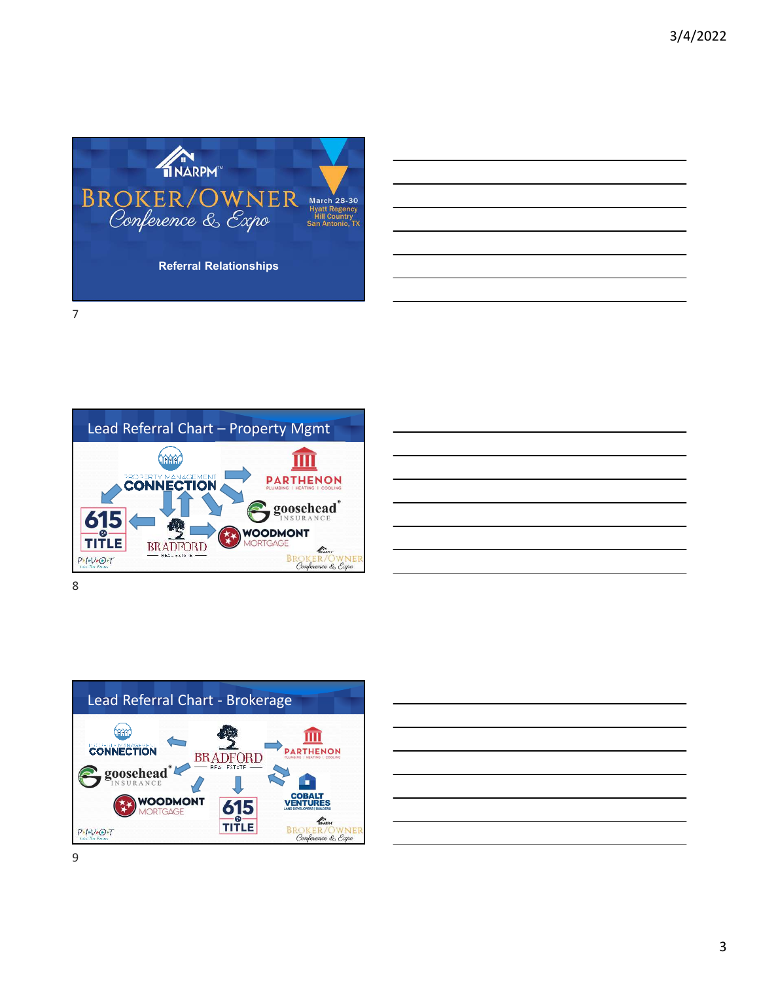







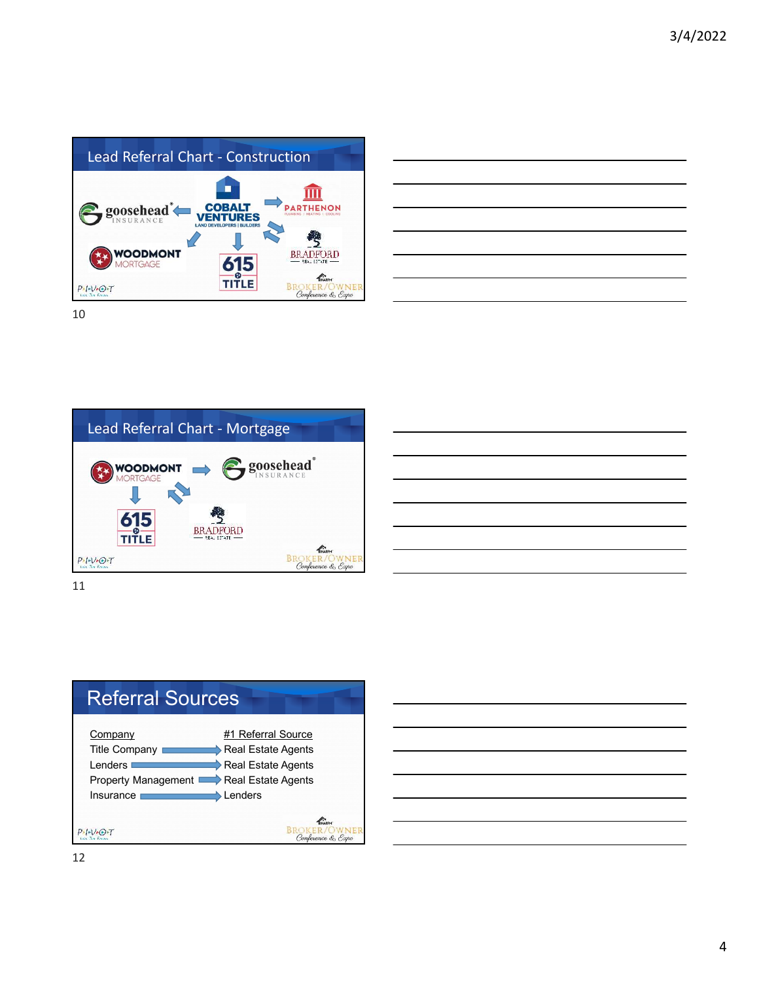

| <u> 1989 - Andrea Andrew Maria Andrew Maria Andrew Maria Andrew Maria Andrew Maria Andrew Maria Andrew Maria Andr</u> |  | _______ |
|-----------------------------------------------------------------------------------------------------------------------|--|---------|
|                                                                                                                       |  |         |
|                                                                                                                       |  |         |
|                                                                                                                       |  |         |
|                                                                                                                       |  |         |
| and the contract of the contract of the contract of the contract of the contract of the contract of the contract of   |  |         |









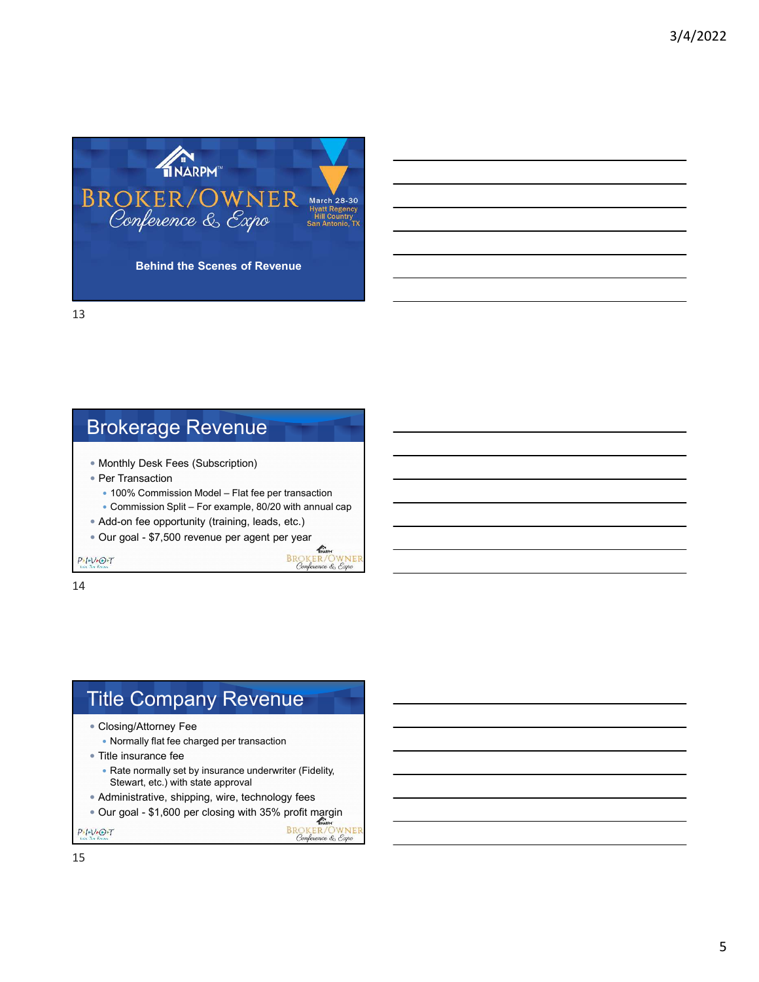

Brokerage Revenue

- Monthly Desk Fees (Subscription)
- Per Transaction
	- 100% Commission Model Flat fee per transaction
	- Commission Split For example, 80/20 with annual cap

 $\mathbb{Z}$ **BROKER/OWNER**<br>Conference & Expo

**BROKER/OWNEI**<br>Conference & Expo

Confe

- Add-on fee opportunity (training, leads, etc.)
- Our goal \$7,500 revenue per agent per year

 $P-I-V+O+T$ 

14

# Title Company Revenue

- Closing/Attorney Fee
	- Normally flat fee charged per transaction
- Title insurance fee
	- Rate normally set by insurance underwriter (Fidelity, Stewart, etc.) with state approval
- Administrative, shipping, wire, technology fees
- Our goal \$1,600 per closing with 35% profit margin

 $P-I-V+O+T$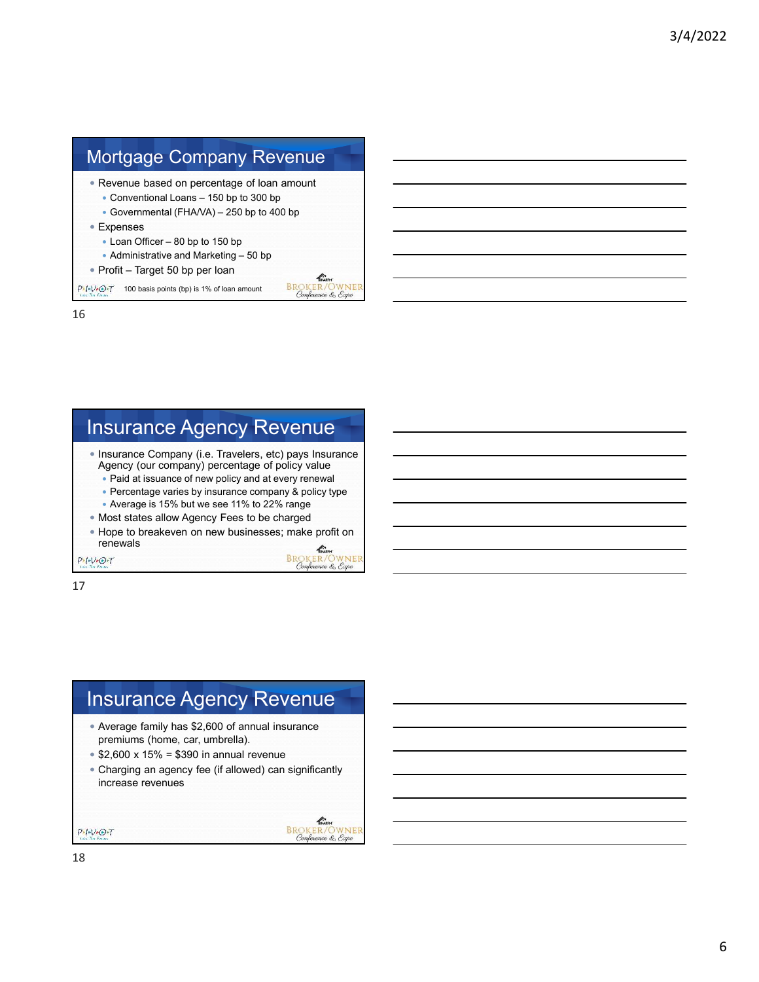

# Insurance Agency Revenue

• Insurance Company (i.e. Travelers, etc) pays Insurance Agency (our company) percentage of policy value

- Paid at issuance of new policy and at every renewal
- Percentage varies by insurance company & policy type
- Average is 15% but we see 11% to 22% range
- Most states allow Agency Fees to be charged
- Hope to breakeven on new businesses; make profit on renewals

WNEI

nce & Expo

**BR** 

 $P-I-V+O+T$ 

17

## Insurance Agency Revenue Average family has \$2,600 of annual insurance premiums (home, car, umbrella).  $$2,600 \times 15\% = $390$  in annual revenue Charging an agency fee (if allowed) can significantly increase revenues

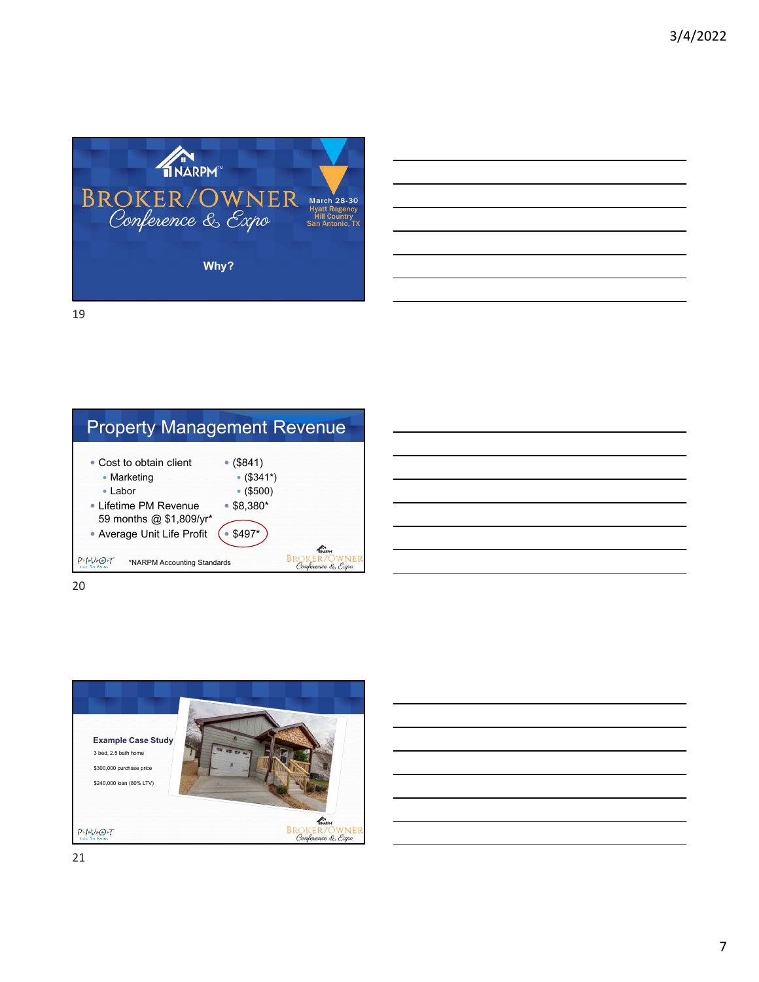



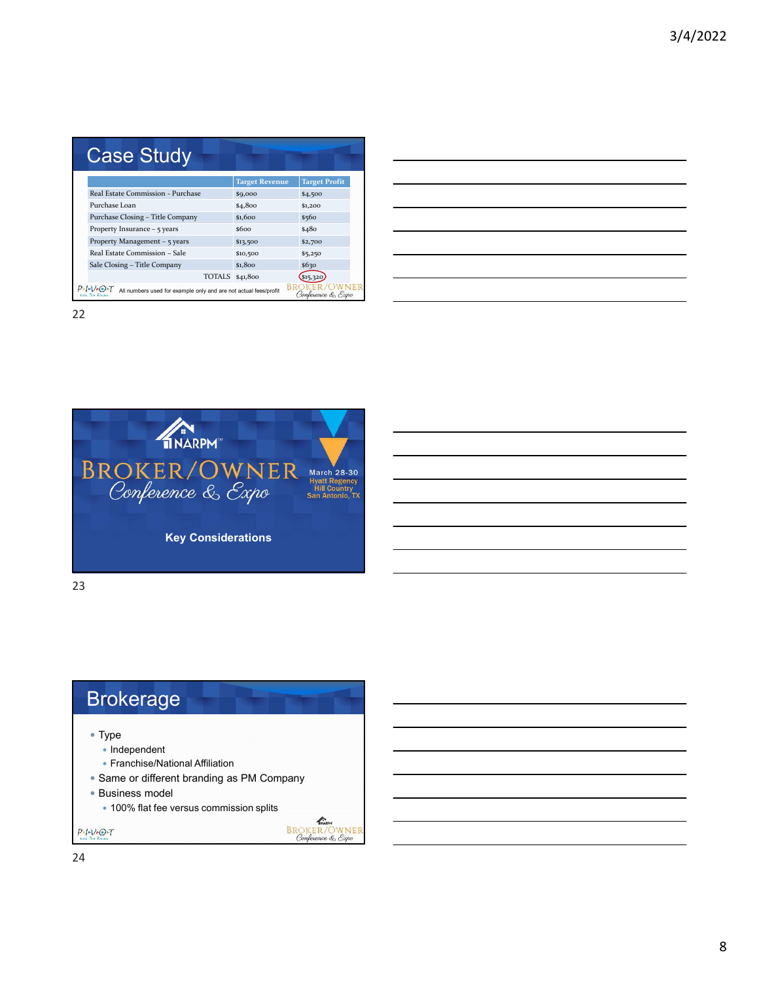| <b>Case Study</b>                                                                                        |                                   |                       |                      |  |  |  |
|----------------------------------------------------------------------------------------------------------|-----------------------------------|-----------------------|----------------------|--|--|--|
|                                                                                                          |                                   | <b>Target Revenue</b> | <b>Target Profit</b> |  |  |  |
|                                                                                                          | Real Estate Commission - Purchase | \$9,000               | \$4,500              |  |  |  |
|                                                                                                          | Purchase Loan                     | \$4,800               | \$1,200              |  |  |  |
|                                                                                                          | Purchase Closing - Title Company  | \$1,600               | \$560                |  |  |  |
|                                                                                                          | Property Insurance - 5 years      | \$600                 | \$480                |  |  |  |
|                                                                                                          | Property Management – 5 years     | \$13,500              | \$2,700              |  |  |  |
|                                                                                                          | Real Estate Commission - Sale     | \$10,500              | \$5,250              |  |  |  |
|                                                                                                          | Sale Closing - Title Company      | \$1,800               | \$630                |  |  |  |
|                                                                                                          | TOTALS \$41,800                   |                       |                      |  |  |  |
| $I - V - O + I$<br>All numbers used for example only and are not actual fees/profit<br>Conference & Expo |                                   |                       |                      |  |  |  |

| <u> 1989 - Johann Stoff, deutscher Stoff, der Stoff, der Stoff, der Stoff, der Stoff, der Stoff, der Stoff, der S</u> |  |  |
|-----------------------------------------------------------------------------------------------------------------------|--|--|
| ,我们也不会有什么?""我们的人,我们也不会有什么?""我们的人,我们也不会有什么?""我们的人,我们也不会有什么?""我们的人,我们也不会有什么?""我们的人                                      |  |  |
|                                                                                                                       |  |  |
| <u> 1989 - Johann Stoff, amerikansk politiker (d. 1989)</u>                                                           |  |  |
|                                                                                                                       |  |  |
| ,我们也不会有什么。""我们的人,我们也不会有什么?""我们的人,我们也不会有什么?""我们的人,我们也不会有什么?""我们的人,我们也不会有什么?""我们的人                                      |  |  |
|                                                                                                                       |  |  |



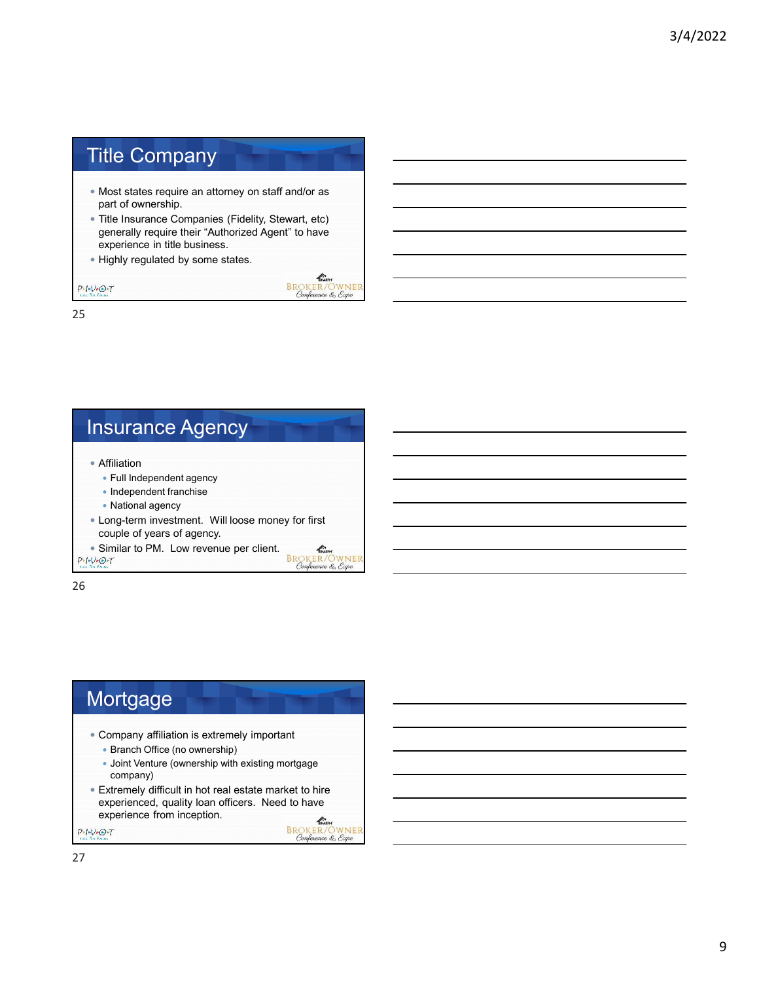## Title Company

- Most states require an attorney on staff and/or as part of ownership.
- Title Insurance Companies (Fidelity, Stewart, etc) generally require their "Authorized Agent" to have experience in title business.

 $\mathbb{Z}$ **BROKER/OWNER**<br>Conference & Expo

WNEI

• Highly regulated by some states.

 $P-I-V+O+T$ 

25

#### Insurance Agency Affiliation Full Independent agency • Independent franchise • National agency Long-term investment. Will loose money for first couple of years of agency. • Similar to PM. Low revenue per client.<br> $P+V+O+T$  $\mathbb{Z}$ BROKER/OWN

26

# **Mortgage**

- Company affiliation is extremely important
	- Branch Office (no ownership)
	- Joint Venture (ownership with existing mortgage company)
- Extremely difficult in hot real estate market to hire experienced, quality loan officers. Need to have experience from inception. THARPH  $P - I - V - O - T$

**BROKER/OWNER**<br>Conference & Expo